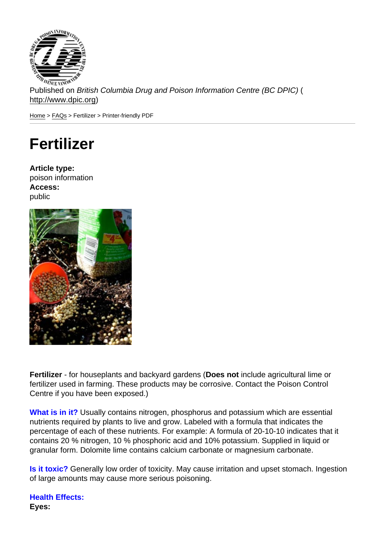Published on British Columbia Drug and Poison Information Centre (BC DPIC) ( http://www.dpic.org)

Home > FAQs > Fertilizer > Printer-friendly PDF

## [Fe](http://www.dpic.org/)[rtili](http://www.dpic.org/faq)zer

Article type: poison information Access: public

Fertilizer - for houseplants and backyard gardens (Does not include agricultural lime or fertilizer used in farming. These products may be corrosive. Contact the Poison Control Centre if you have been exposed.)

What is in it? Usually contains nitrogen, phosphorus and potassium which are essential nutrients required by plants to live and grow. Labeled with a formula that indicates the percentage of each of these nutrients. For example: A formula of 20-10-10 indicates that it contains 20 % nitrogen, 10 % phosphoric acid and 10% potassium. Supplied in liquid or granular form. Dolomite lime contains calcium carbonate or magnesium carbonate.

Is it toxic? Generally low order of toxicity. May cause irritation and upset stomach. Ingestion of large amounts may cause more serious poisoning.

Health Effects: Eyes: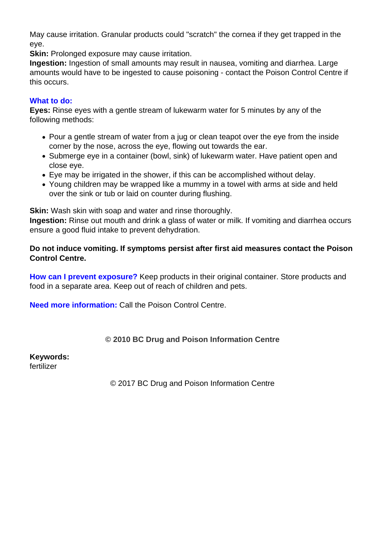May cause irritation. Granular products could "scratch" the cornea if they get trapped in the eye.

**Skin:** Prolonged exposure may cause irritation.

**Ingestion:** Ingestion of small amounts may result in nausea, vomiting and diarrhea. Large amounts would have to be ingested to cause poisoning - contact the Poison Control Centre if this occurs.

## **What to do:**

**Eyes:** Rinse eyes with a gentle stream of lukewarm water for 5 minutes by any of the following methods:

- Pour a gentle stream of water from a jug or clean teapot over the eye from the inside corner by the nose, across the eye, flowing out towards the ear.
- Submerge eye in a container (bowl, sink) of lukewarm water. Have patient open and close eye.
- Eye may be irrigated in the shower, if this can be accomplished without delay.
- Young children may be wrapped like a mummy in a towel with arms at side and held over the sink or tub or laid on counter during flushing.

**Skin:** Wash skin with soap and water and rinse thoroughly.

**Ingestion:** Rinse out mouth and drink a glass of water or milk. If vomiting and diarrhea occurs ensure a good fluid intake to prevent dehydration.

## **Do not induce vomiting. If symptoms persist after first aid measures contact the Poison Control Centre.**

**How can I prevent exposure?** Keep products in their original container. Store products and food in a separate area. Keep out of reach of children and pets.

**Need more information:** Call the Poison Control Centre.

## **© 2010 BC Drug and Poison Information Centre**

**Keywords:** 

fertilizer

© 2017 BC Drug and Poison Information Centre